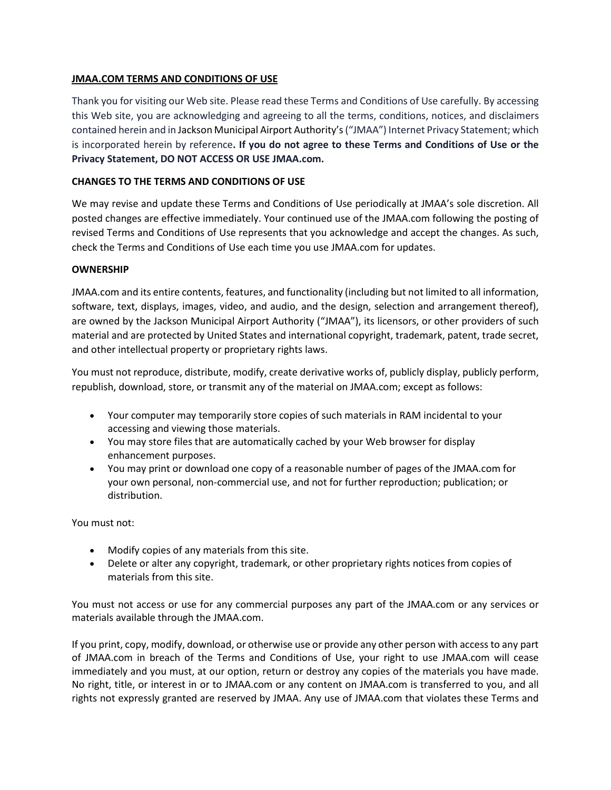# **JMAA.COM TERMS AND CONDITIONS OF USE**

Thank you for visiting our Web site. Please read these Terms and Conditions of Use carefully. By accessing this Web site, you are acknowledging and agreeing to all the terms, conditions, notices, and disclaimers contained herein and in Jackson Municipal Airport Authority's("JMAA") Internet Privacy Statement; which is incorporated herein by reference**. If you do not agree to these Terms and Conditions of Use or the Privacy Statement, DO NOT ACCESS OR USE JMAA.com.**

# **CHANGES TO THE TERMS AND CONDITIONS OF USE**

We may revise and update these Terms and Conditions of Use periodically at JMAA's sole discretion. All posted changes are effective immediately. Your continued use of the JMAA.com following the posting of revised Terms and Conditions of Use represents that you acknowledge and accept the changes. As such, check the Terms and Conditions of Use each time you use JMAA.com for updates.

## **OWNERSHIP**

JMAA.com and its entire contents, features, and functionality (including but not limited to all information, software, text, displays, images, video, and audio, and the design, selection and arrangement thereof), are owned by the Jackson Municipal Airport Authority ("JMAA"), its licensors, or other providers of such material and are protected by United States and international copyright, trademark, patent, trade secret, and other intellectual property or proprietary rights laws.

You must not reproduce, distribute, modify, create derivative works of, publicly display, publicly perform, republish, download, store, or transmit any of the material on JMAA.com; except as follows:

- Your computer may temporarily store copies of such materials in RAM incidental to your accessing and viewing those materials.
- You may store files that are automatically cached by your Web browser for display enhancement purposes.
- You may print or download one copy of a reasonable number of pages of the JMAA.com for your own personal, non-commercial use, and not for further reproduction; publication; or distribution.

You must not:

- Modify copies of any materials from this site.
- Delete or alter any copyright, trademark, or other proprietary rights notices from copies of materials from this site.

You must not access or use for any commercial purposes any part of the JMAA.com or any services or materials available through the JMAA.com.

If you print, copy, modify, download, or otherwise use or provide any other person with access to any part of JMAA.com in breach of the Terms and Conditions of Use, your right to use JMAA.com will cease immediately and you must, at our option, return or destroy any copies of the materials you have made. No right, title, or interest in or to JMAA.com or any content on JMAA.com is transferred to you, and all rights not expressly granted are reserved by JMAA. Any use of JMAA.com that violates these Terms and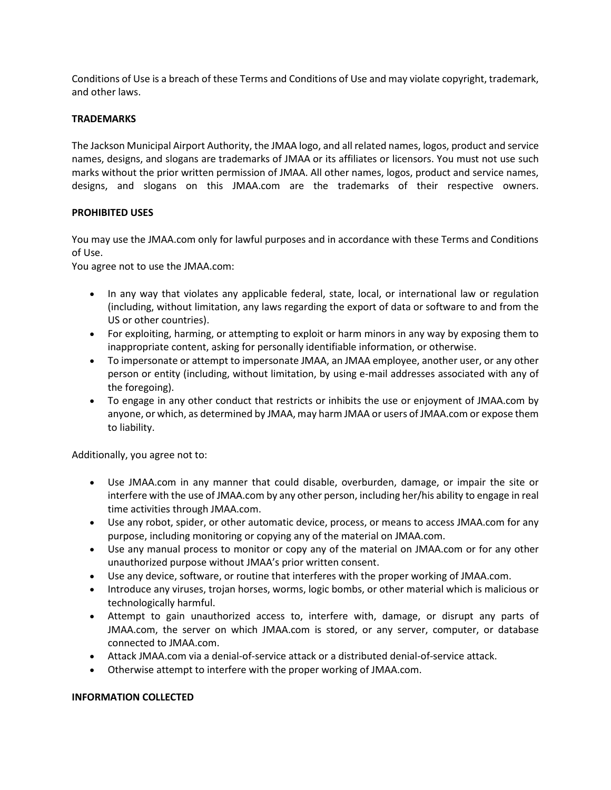Conditions of Use is a breach of these Terms and Conditions of Use and may violate copyright, trademark, and other laws.

## **TRADEMARKS**

The Jackson Municipal Airport Authority, the JMAA logo, and all related names, logos, product and service names, designs, and slogans are trademarks of JMAA or its affiliates or licensors. You must not use such marks without the prior written permission of JMAA. All other names, logos, product and service names, designs, and slogans on this JMAA.com are the trademarks of their respective owners.

## **PROHIBITED USES**

You may use the JMAA.com only for lawful purposes and in accordance with these Terms and Conditions of Use.

You agree not to use the JMAA.com:

- In any way that violates any applicable federal, state, local, or international law or regulation (including, without limitation, any laws regarding the export of data or software to and from the US or other countries).
- For exploiting, harming, or attempting to exploit or harm minors in any way by exposing them to inappropriate content, asking for personally identifiable information, or otherwise.
- To impersonate or attempt to impersonate JMAA, an JMAA employee, another user, or any other person or entity (including, without limitation, by using e-mail addresses associated with any of the foregoing).
- To engage in any other conduct that restricts or inhibits the use or enjoyment of JMAA.com by anyone, or which, as determined by JMAA, may harm JMAA or users of JMAA.com or expose them to liability.

Additionally, you agree not to:

- Use JMAA.com in any manner that could disable, overburden, damage, or impair the site or interfere with the use of JMAA.com by any other person, including her/his ability to engage in real time activities through JMAA.com.
- Use any robot, spider, or other automatic device, process, or means to access JMAA.com for any purpose, including monitoring or copying any of the material on JMAA.com.
- Use any manual process to monitor or copy any of the material on JMAA.com or for any other unauthorized purpose without JMAA's prior written consent.
- Use any device, software, or routine that interferes with the proper working of JMAA.com.
- Introduce any viruses, trojan horses, worms, logic bombs, or other material which is malicious or technologically harmful.
- Attempt to gain unauthorized access to, interfere with, damage, or disrupt any parts of JMAA.com, the server on which JMAA.com is stored, or any server, computer, or database connected to JMAA.com.
- Attack JMAA.com via a denial-of-service attack or a distributed denial-of-service attack.
- Otherwise attempt to interfere with the proper working of JMAA.com.

## **INFORMATION COLLECTED**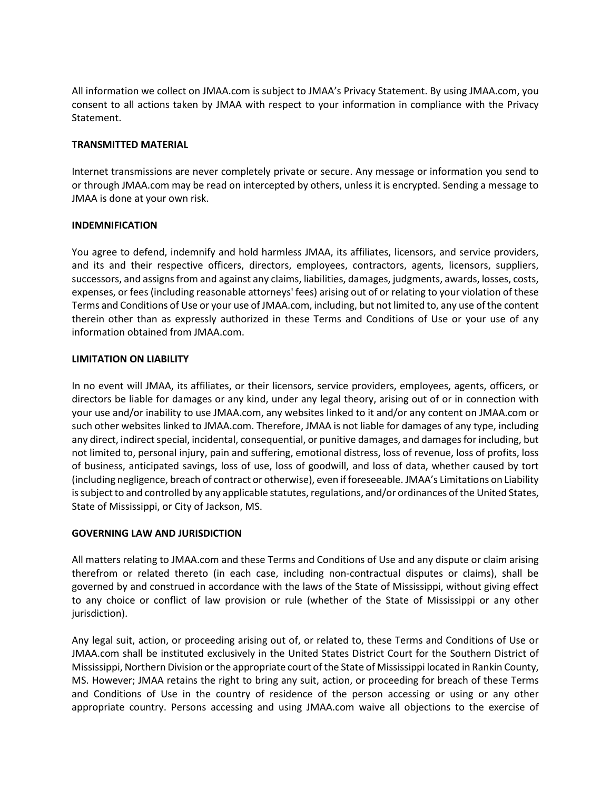All information we collect on JMAA.com is subject to JMAA's Privacy Statement. By using JMAA.com, you consent to all actions taken by JMAA with respect to your information in compliance with the Privacy Statement.

### **TRANSMITTED MATERIAL**

Internet transmissions are never completely private or secure. Any message or information you send to or through JMAA.com may be read on intercepted by others, unless it is encrypted. Sending a message to JMAA is done at your own risk.

### **INDEMNIFICATION**

You agree to defend, indemnify and hold harmless JMAA, its affiliates, licensors, and service providers, and its and their respective officers, directors, employees, contractors, agents, licensors, suppliers, successors, and assigns from and against any claims, liabilities, damages, judgments, awards, losses, costs, expenses, or fees (including reasonable attorneys' fees) arising out of or relating to your violation of these Terms and Conditions of Use or your use of JMAA.com, including, but not limited to, any use of the content therein other than as expressly authorized in these Terms and Conditions of Use or your use of any information obtained from JMAA.com.

### **LIMITATION ON LIABILITY**

In no event will JMAA, its affiliates, or their licensors, service providers, employees, agents, officers, or directors be liable for damages or any kind, under any legal theory, arising out of or in connection with your use and/or inability to use JMAA.com, any websites linked to it and/or any content on JMAA.com or such other websites linked to JMAA.com. Therefore, JMAA is not liable for damages of any type, including any direct, indirect special, incidental, consequential, or punitive damages, and damages for including, but not limited to, personal injury, pain and suffering, emotional distress, loss of revenue, loss of profits, loss of business, anticipated savings, loss of use, loss of goodwill, and loss of data, whether caused by tort (including negligence, breach of contract or otherwise), even if foreseeable. JMAA's Limitations on Liability is subject to and controlled by any applicable statutes, regulations, and/or ordinances of the United States, State of Mississippi, or City of Jackson, MS.

#### **GOVERNING LAW AND JURISDICTION**

All matters relating to JMAA.com and these Terms and Conditions of Use and any dispute or claim arising therefrom or related thereto (in each case, including non-contractual disputes or claims), shall be governed by and construed in accordance with the laws of the State of Mississippi, without giving effect to any choice or conflict of law provision or rule (whether of the State of Mississippi or any other jurisdiction).

Any legal suit, action, or proceeding arising out of, or related to, these Terms and Conditions of Use or JMAA.com shall be instituted exclusively in the United States District Court for the Southern District of Mississippi, Northern Division or the appropriate court of the State of Mississippi located in Rankin County, MS. However; JMAA retains the right to bring any suit, action, or proceeding for breach of these Terms and Conditions of Use in the country of residence of the person accessing or using or any other appropriate country. Persons accessing and using JMAA.com waive all objections to the exercise of